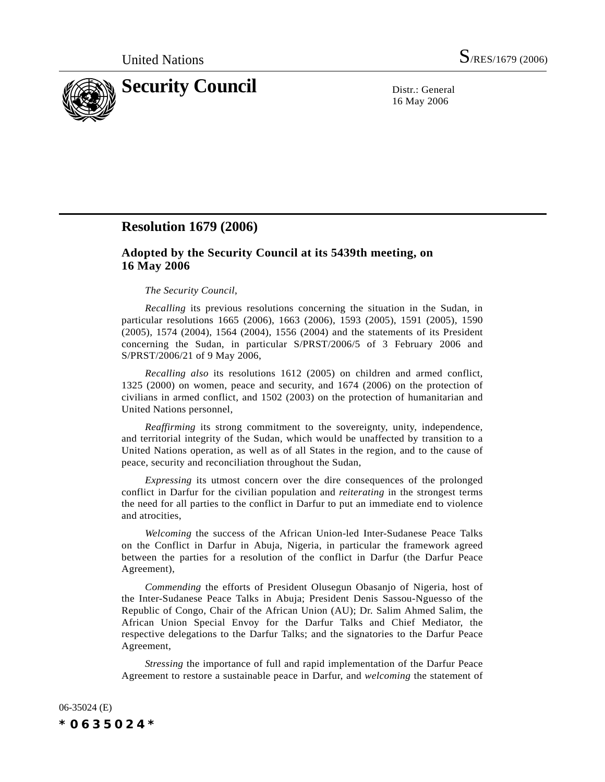

16 May 2006

## **Resolution 1679 (2006)**

## **Adopted by the Security Council at its 5439th meeting, on 16 May 2006**

## *The Security Council*,

*Recalling* its previous resolutions concerning the situation in the Sudan, in particular resolutions 1665 (2006), 1663 (2006), 1593 (2005), 1591 (2005), 1590 (2005), 1574 (2004), 1564 (2004), 1556 (2004) and the statements of its President concerning the Sudan, in particular S/PRST/2006/5 of 3 February 2006 and S/PRST/2006/21 of 9 May 2006,

*Recalling also* its resolutions 1612 (2005) on children and armed conflict, 1325 (2000) on women, peace and security, and 1674 (2006) on the protection of civilians in armed conflict, and 1502 (2003) on the protection of humanitarian and United Nations personnel,

*Reaffirming* its strong commitment to the sovereignty, unity, independence, and territorial integrity of the Sudan, which would be unaffected by transition to a United Nations operation, as well as of all States in the region, and to the cause of peace, security and reconciliation throughout the Sudan,

*Expressing* its utmost concern over the dire consequences of the prolonged conflict in Darfur for the civilian population and *reiterating* in the strongest terms the need for all parties to the conflict in Darfur to put an immediate end to violence and atrocities,

*Welcoming* the success of the African Union-led Inter-Sudanese Peace Talks on the Conflict in Darfur in Abuja, Nigeria, in particular the framework agreed between the parties for a resolution of the conflict in Darfur (the Darfur Peace Agreement),

*Commending* the efforts of President Olusegun Obasanjo of Nigeria, host of the Inter-Sudanese Peace Talks in Abuja; President Denis Sassou-Nguesso of the Republic of Congo, Chair of the African Union (AU); Dr. Salim Ahmed Salim, the African Union Special Envoy for the Darfur Talks and Chief Mediator, the respective delegations to the Darfur Talks; and the signatories to the Darfur Peace Agreement,

*Stressing* the importance of full and rapid implementation of the Darfur Peace Agreement to restore a sustainable peace in Darfur, and *welcoming* the statement of

06-35024 (E) *\*0635024\**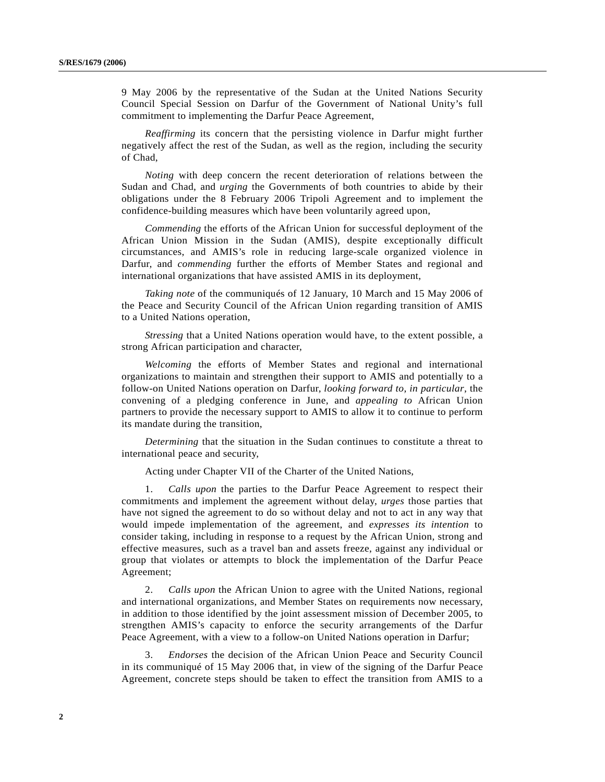9 May 2006 by the representative of the Sudan at the United Nations Security Council Special Session on Darfur of the Government of National Unity's full commitment to implementing the Darfur Peace Agreement,

*Reaffirming* its concern that the persisting violence in Darfur might further negatively affect the rest of the Sudan, as well as the region, including the security of Chad,

*Noting* with deep concern the recent deterioration of relations between the Sudan and Chad, and *urging* the Governments of both countries to abide by their obligations under the 8 February 2006 Tripoli Agreement and to implement the confidence-building measures which have been voluntarily agreed upon,

*Commending* the efforts of the African Union for successful deployment of the African Union Mission in the Sudan (AMIS), despite exceptionally difficult circumstances, and AMIS's role in reducing large-scale organized violence in Darfur, and *commending* further the efforts of Member States and regional and international organizations that have assisted AMIS in its deployment,

*Taking note* of the communiqués of 12 January, 10 March and 15 May 2006 of the Peace and Security Council of the African Union regarding transition of AMIS to a United Nations operation,

*Stressing* that a United Nations operation would have, to the extent possible, a strong African participation and character,

*Welcoming* the efforts of Member States and regional and international organizations to maintain and strengthen their support to AMIS and potentially to a follow-on United Nations operation on Darfur, *looking forward to*, *in particular*, the convening of a pledging conference in June, and *appealing to* African Union partners to provide the necessary support to AMIS to allow it to continue to perform its mandate during the transition,

*Determining* that the situation in the Sudan continues to constitute a threat to international peace and security,

Acting under Chapter VII of the Charter of the United Nations,

1. *Calls upon* the parties to the Darfur Peace Agreement to respect their commitments and implement the agreement without delay, *urges* those parties that have not signed the agreement to do so without delay and not to act in any way that would impede implementation of the agreement, and *expresses its intention* to consider taking, including in response to a request by the African Union, strong and effective measures, such as a travel ban and assets freeze, against any individual or group that violates or attempts to block the implementation of the Darfur Peace Agreement;

2. *Calls upon* the African Union to agree with the United Nations, regional and international organizations, and Member States on requirements now necessary, in addition to those identified by the joint assessment mission of December 2005, to strengthen AMIS's capacity to enforce the security arrangements of the Darfur Peace Agreement, with a view to a follow-on United Nations operation in Darfur;

3. *Endorses* the decision of the African Union Peace and Security Council in its communiqué of 15 May 2006 that, in view of the signing of the Darfur Peace Agreement, concrete steps should be taken to effect the transition from AMIS to a